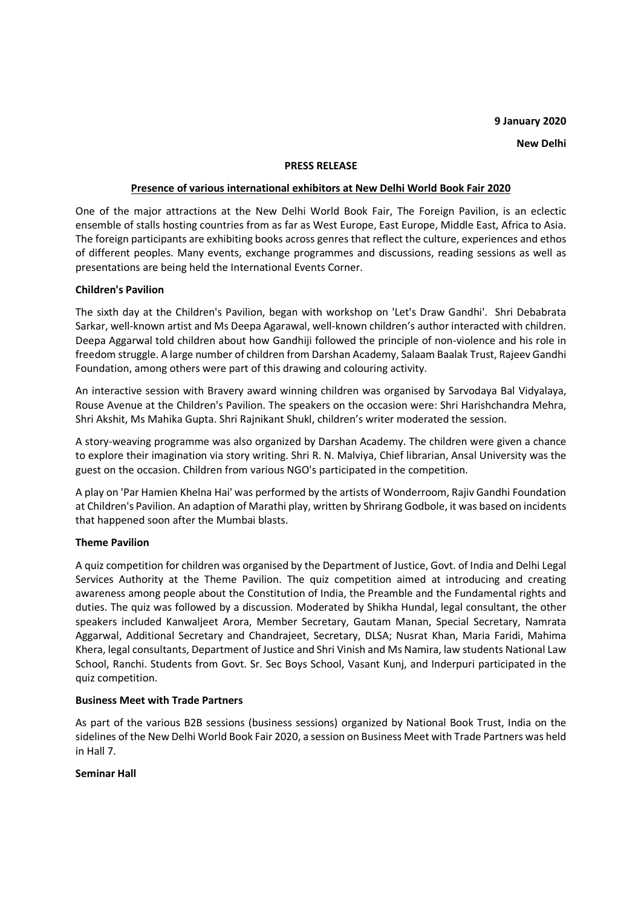# **9 January 2020**

**New Delhi** 

#### **PRESS RELEASE**

## **Presence of various international exhibitors at New Delhi World Book Fair 2020**

One of the major attractions at the New Delhi World Book Fair, The Foreign Pavilion, is an eclectic ensemble of stalls hosting countries from as far as West Europe, East Europe, Middle East, Africa to Asia. The foreign participants are exhibiting books across genres that reflect the culture, experiences and ethos of different peoples. Many events, exchange programmes and discussions, reading sessions as well as presentations are being held the International Events Corner.

## **Children's Pavilion**

The sixth day at the Children's Pavilion, began with workshop on 'Let's Draw Gandhi'. Shri Debabrata Sarkar, well-known artist and Ms Deepa Agarawal, well-known children's author interacted with children. Deepa Aggarwal told children about how Gandhiji followed the principle of non-violence and his role in freedom struggle. A large number of children from Darshan Academy, Salaam Baalak Trust, Rajeev Gandhi Foundation, among others were part of this drawing and colouring activity.

An interactive session with Bravery award winning children was organised by Sarvodaya Bal Vidyalaya, Rouse Avenue at the Children's Pavilion. The speakers on the occasion were: Shri Harishchandra Mehra, Shri Akshit, Ms Mahika Gupta. Shri Rajnikant Shukl, children's writer moderated the session.

A story-weaving programme was also organized by Darshan Academy. The children were given a chance to explore their imagination via story writing. Shri R. N. Malviya, Chief librarian, Ansal University was the guest on the occasion. Children from various NGO's participated in the competition.

A play on 'Par Hamien Khelna Hai' was performed by the artists of Wonderroom, Rajiv Gandhi Foundation at Children's Pavilion. An adaption of Marathi play, written by Shrirang Godbole, it was based on incidents that happened soon after the Mumbai blasts.

## **Theme Pavilion**

A quiz competition for children was organised by the Department of Justice, Govt. of India and Delhi Legal Services Authority at the Theme Pavilion. The quiz competition aimed at introducing and creating awareness among people about the Constitution of India, the Preamble and the Fundamental rights and duties. The quiz was followed by a discussion. Moderated by Shikha Hundal, legal consultant, the other speakers included Kanwaljeet Arora, Member Secretary, Gautam Manan, Special Secretary, Namrata Aggarwal, Additional Secretary and Chandrajeet, Secretary, DLSA; Nusrat Khan, Maria Faridi, Mahima Khera, legal consultants, Department of Justice and Shri Vinish and Ms Namira, law students National Law School, Ranchi. Students from Govt. Sr. Sec Boys School, Vasant Kunj, and Inderpuri participated in the quiz competition.

## **Business Meet with Trade Partners**

As part of the various B2B sessions (business sessions) organized by National Book Trust, India on the sidelines of the New Delhi World Book Fair 2020, a session on Business Meet with Trade Partners was held in Hall 7.

## **Seminar Hall**